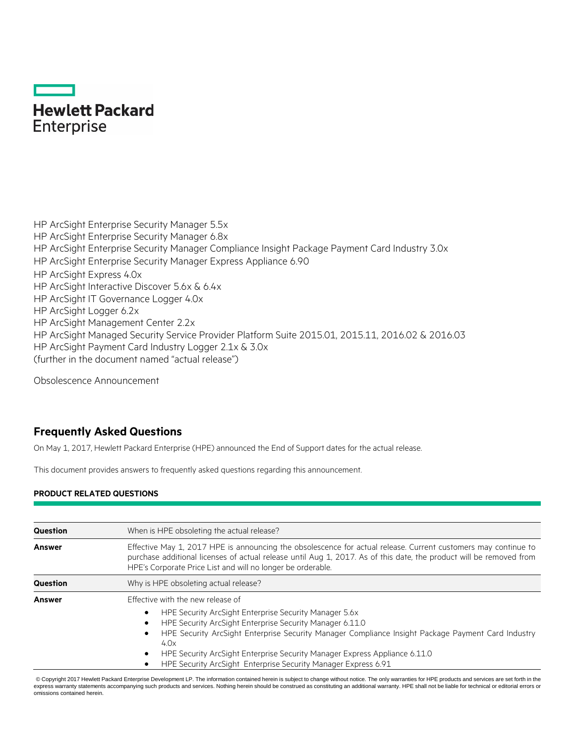# **Hewlett Packard Enterprise**

HP ArcSight Enterprise Security Manager 5.5x HP ArcSight Enterprise Security Manager 6.8x HP ArcSight Enterprise Security Manager Compliance Insight Package Payment Card Industry 3.0x HP ArcSight Enterprise Security Manager Express Appliance 6.90 HP ArcSight Express 4.0x HP ArcSight Interactive Discover 5.6x & 6.4x HP ArcSight IT Governance Logger 4.0x HP ArcSight Logger 6.2x HP ArcSight Management Center 2.2x HP ArcSight Managed Security Service Provider Platform Suite 2015.01, 2015.11, 2016.02 & 2016.03 HP ArcSight Payment Card Industry Logger 2.1x & 3.0x (further in the document named "actual release")

Obsolescence Announcement

## **Frequently Asked Questions**

On May 1, 2017, Hewlett Packard Enterprise (HPE) announced the End of Support dates for the actual release.

This document provides answers to frequently asked questions regarding this announcement.

## **PRODUCT RELATED QUESTIONS**

| <b>Question</b> | When is HPE obsoleting the actual release?                                                                                                                                                                                                                                                           |
|-----------------|------------------------------------------------------------------------------------------------------------------------------------------------------------------------------------------------------------------------------------------------------------------------------------------------------|
| <b>Answer</b>   | Effective May 1, 2017 HPE is announcing the obsolescence for actual release. Current customers may continue to<br>purchase additional licenses of actual release until Aug 1, 2017. As of this date, the product will be removed from<br>HPE's Corporate Price List and will no longer be orderable. |
| <b>Question</b> | Why is HPE obsoleting actual release?                                                                                                                                                                                                                                                                |
| <b>Answer</b>   | Effective with the new release of                                                                                                                                                                                                                                                                    |
|                 | HPE Security ArcSight Enterprise Security Manager 5.6x<br>$\bullet$                                                                                                                                                                                                                                  |
|                 | HPE Security ArcSight Enterprise Security Manager 6.11.0<br>$\bullet$                                                                                                                                                                                                                                |
|                 | HPE Security ArcSight Enterprise Security Manager Compliance Insight Package Payment Card Industry<br>$\bullet$<br>4.0x                                                                                                                                                                              |
|                 | HPE Security ArcSight Enterprise Security Manager Express Appliance 6.11.0<br>$\bullet$                                                                                                                                                                                                              |
|                 | HPE Security ArcSight Enterprise Security Manager Express 6.91                                                                                                                                                                                                                                       |

\*© Copyright 2017 Hewlett Packard Enterprise Development LP. The information contained herein is subject to change without notice. The only warranties for HPE products and services are set forth in the express warranty statements accompanying such products and services. Nothing herein should be construed as constituting an additional warranty. HPE shall not be liable for technical or editorial errors or omissions contained herein.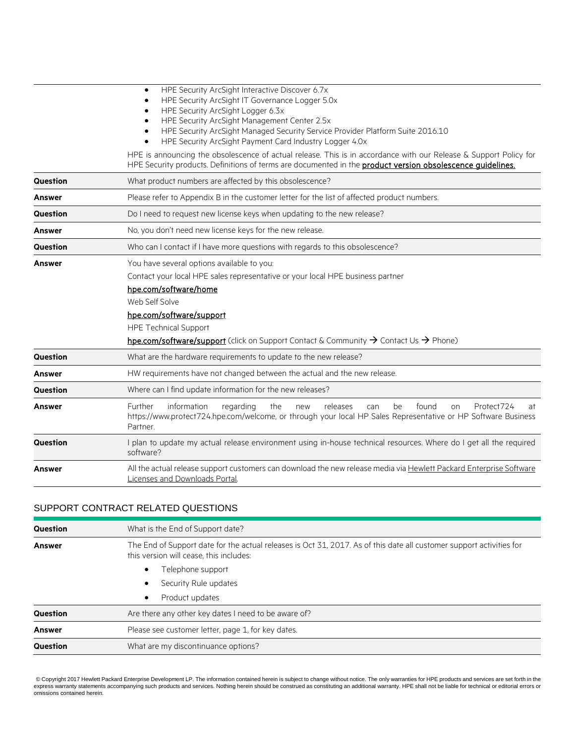|                 | HPE Security ArcSight Interactive Discover 6.7x<br>$\bullet$<br>HPE Security ArcSight IT Governance Logger 5.0x<br>HPE Security ArcSight Logger 6.3x<br>$\bullet$<br>HPE Security ArcSight Management Center 2.5x<br>HPE Security ArcSight Managed Security Service Provider Platform Suite 2016.10<br>HPE Security ArcSight Payment Card Industry Logger 4.0x<br>HPE is announcing the obsolescence of actual release. This is in accordance with our Release & Support Policy for<br>HPE Security products. Definitions of terms are documented in the product version obsolescence quidelines. |
|-----------------|---------------------------------------------------------------------------------------------------------------------------------------------------------------------------------------------------------------------------------------------------------------------------------------------------------------------------------------------------------------------------------------------------------------------------------------------------------------------------------------------------------------------------------------------------------------------------------------------------|
| <b>Question</b> | What product numbers are affected by this obsolescence?                                                                                                                                                                                                                                                                                                                                                                                                                                                                                                                                           |
| Answer          | Please refer to Appendix B in the customer letter for the list of affected product numbers.                                                                                                                                                                                                                                                                                                                                                                                                                                                                                                       |
| <b>Question</b> | Do I need to request new license keys when updating to the new release?                                                                                                                                                                                                                                                                                                                                                                                                                                                                                                                           |
| Answer          | No, you don't need new license keys for the new release.                                                                                                                                                                                                                                                                                                                                                                                                                                                                                                                                          |
| Question        | Who can I contact if I have more questions with regards to this obsolescence?                                                                                                                                                                                                                                                                                                                                                                                                                                                                                                                     |
| Answer          | You have several options available to you:<br>Contact your local HPE sales representative or your local HPE business partner<br>hpe.com/software/home<br>Web Self Solve<br>hpe.com/software/support<br><b>HPE Technical Support</b><br>hpe.com/software/support (click on Support Contact & Community $\rightarrow$ Contact Us $\rightarrow$ Phone)                                                                                                                                                                                                                                               |
| <b>Question</b> | What are the hardware requirements to update to the new release?                                                                                                                                                                                                                                                                                                                                                                                                                                                                                                                                  |
| Answer          | HW requirements have not changed between the actual and the new release.                                                                                                                                                                                                                                                                                                                                                                                                                                                                                                                          |
| Question        | Where can I find update information for the new releases?                                                                                                                                                                                                                                                                                                                                                                                                                                                                                                                                         |
| Answer          | information<br>Further<br>the<br>releases<br>be<br>found<br>Protect724<br>regarding<br>can<br>new<br>on<br>at<br>https://www.protect724.hpe.com/welcome, or through your local HP Sales Representative or HP Software Business<br>Partner.                                                                                                                                                                                                                                                                                                                                                        |
| Question        | I plan to update my actual release environment using in-house technical resources. Where do I get all the required<br>software?                                                                                                                                                                                                                                                                                                                                                                                                                                                                   |
| Answer          | All the actual release support customers can download the new release media via Hewlett Packard Enterprise Software<br>Licenses and Downloads Portal.                                                                                                                                                                                                                                                                                                                                                                                                                                             |

## SUPPORT CONTRACT RELATED QUESTIONS

| <b>Question</b> | What is the End of Support date?                                                                                                                                |
|-----------------|-----------------------------------------------------------------------------------------------------------------------------------------------------------------|
| <b>Answer</b>   | The End of Support date for the actual releases is Oct 31, 2017. As of this date all customer support activities for<br>this version will cease, this includes: |
|                 | Telephone support<br>٠                                                                                                                                          |
|                 | Security Rule updates<br>٠                                                                                                                                      |
|                 | Product updates<br>٠                                                                                                                                            |
| Question        | Are there any other key dates I need to be aware of?                                                                                                            |
| <b>Answer</b>   | Please see customer letter, page 1, for key dates.                                                                                                              |
| Question        | What are my discontinuance options?                                                                                                                             |

© Copyright 2017 Hewlett Packard Enterprise Development LP. The information contained herein is subject to change without notice. The only warranties for HPE products and services are set forth in the<br>express warranty stat